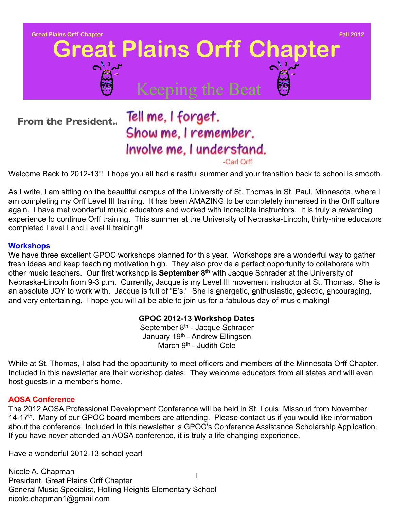

## Show me, I remember. Involve me, I understand.

-Carl Orff

Welcome Back to 2012-13!! I hope you all had a restful summer and your transition back to school is smooth.

As I write, I am sitting on the beautiful campus of the University of St. Thomas in St. Paul, Minnesota, where I am completing my Orff Level III training. It has been AMAZING to be completely immersed in the Orff culture again. I have met wonderful music educators and worked with incredible instructors. It is truly a rewarding experience to continue Orff training. This summer at the University of Nebraska-Lincoln, thirty-nine educators completed Level I and Level II training!!

#### **Workshops**

We have three excellent GPOC workshops planned for this year. Workshops are a wonderful way to gather fresh ideas and keep teaching motivation high. They also provide a perfect opportunity to collaborate with other music teachers. Our first workshop is **September 8th** with Jacque Schrader at the University of Nebraska-Lincoln from 9-3 p.m. Currently, Jacque is my Level III movement instructor at St. Thomas. She is an absolute JOY to work with. Jacque is full of "E's." She is energetic, enthusiastic, eclectic, encouraging, and very entertaining. I hope you will all be able to join us for a fabulous day of music making!

#### **GPOC 2012-13 Workshop Dates**

September 8<sup>th</sup> - Jacque Schrader January 19th - Andrew Ellingsen March 9<sup>th</sup> - Judith Cole

While at St. Thomas, I also had the opportunity to meet officers and members of the Minnesota Orff Chapter. Included in this newsletter are their workshop dates. They welcome educators from all states and will even host guests in a member's home.

#### **AOSA Conference**

The 2012 AOSA Professional Development Conference will be held in St. Louis, Missouri from November 14-17<sup>th</sup>. Many of our GPOC board members are attending. Please contact us if you would like information about the conference. Included in this newsletter is GPOC's Conference Assistance Scholarship Application. If you have never attended an AOSA conference, it is truly a life changing experience.

Have a wonderful 2012-13 school year!

1 Nicole A. Chapman President, Great Plains Orff Chapter General Music Specialist, Holling Heights Elementary School nicole.chapman1@gmail.com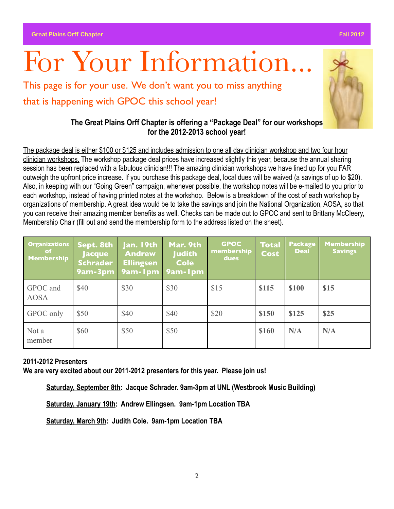# For Your Information.

This page is for your use. We don't want you to miss anything that is happening with GPOC this school year!

#### **The Great Plains Orff Chapter is offering a "Package Deal" for our workshops for the 2012-2013 school year!**

The package deal is either \$100 or \$125 and includes admission to one all day clinician workshop and two four hour clinician workshops. The workshop package deal prices have increased slightly this year, because the annual sharing session has been replaced with a fabulous clinician!!! The amazing clinician workshops we have lined up for you FAR outweigh the upfront price increase. If you purchase this package deal, local dues will be waived (a savings of up to \$20). Also, in keeping with our "Going Green" campaign, whenever possible, the workshop notes will be e-mailed to you prior to each workshop, instead of having printed notes at the workshop. Below is a breakdown of the cost of each workshop by organizations of membership. A great idea would be to take the savings and join the National Organization, AOSA, so that you can receive their amazing member benefits as well. Checks can be made out to GPOC and sent to Brittany McCleery, Membership Chair (fill out and send the membership form to the address listed on the sheet).

| <b>Organizations</b><br>of.<br>Membership | Sept. 8th<br><b>Jacque</b><br><b>Schrader</b><br>9am-3pm | Jan. 19th<br><b>Andrew</b><br><b>Ellingsen</b><br>$\sqrt{9am-1pm}$ | Mar. 9th<br><b>Judith</b><br><b>Cole</b><br>9am-1pm | <b>GPOC</b><br>membership<br>dues | <b>Total</b><br><b>Cost</b> | <b>Package</b><br><b>Deal</b> | <b>Membership</b><br><b>Savings</b> |
|-------------------------------------------|----------------------------------------------------------|--------------------------------------------------------------------|-----------------------------------------------------|-----------------------------------|-----------------------------|-------------------------------|-------------------------------------|
| GPOC and<br><b>AOSA</b>                   | \$40                                                     | \$30                                                               | \$30                                                | \$15                              | \$115                       | <b>\$100</b>                  | \$15                                |
| GPOC only                                 | \$50                                                     | \$40                                                               | \$40                                                | \$20                              | \$150                       | \$125                         | <b>\$25</b>                         |
| Not a<br>member                           | \$60                                                     | \$50                                                               | \$50                                                |                                   | \$160                       | N/A                           | N/A                                 |

#### **2011-2012 Presenters**

**We are very excited about our 2011-2012 presenters for this year. Please join us!**

**Saturday, September 8th: Jacque Schrader. 9am-3pm at UNL (Westbrook Music Building)**

**Saturday, January 19th: Andrew Ellingsen. 9am-1pm Location TBA**

**Saturday, March 9th: Judith Cole. 9am-1pm Location TBA** 

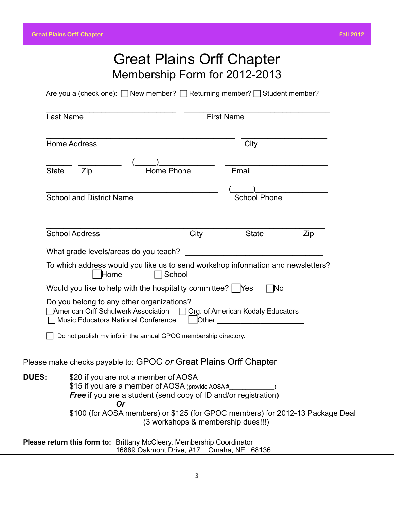### Great Plains Orff Chapter Membership Form for 2012-2013

Are you a (check one):  $\Box$  New member?  $\Box$  Returning member?  $\Box$  Student member?

|              | <b>Home Address</b>             |                                                                                                                                                                    |            | City                                                                             |     |
|--------------|---------------------------------|--------------------------------------------------------------------------------------------------------------------------------------------------------------------|------------|----------------------------------------------------------------------------------|-----|
| <b>State</b> | Zip                             |                                                                                                                                                                    | Home Phone | Email                                                                            |     |
|              | <b>School and District Name</b> |                                                                                                                                                                    |            | <b>School Phone</b>                                                              |     |
|              | <b>School Address</b>           |                                                                                                                                                                    | City       | <b>State</b>                                                                     | Zip |
|              | Home                            | What grade levels/areas do you teach?                                                                                                                              | School     | To which address would you like us to send workshop information and newsletters? |     |
|              |                                 | Would you like to help with the hospitality committee?   Yes                                                                                                       |            | 1No                                                                              |     |
|              |                                 | Do you belong to any other organizations?<br><b>American Orff Schulwerk Association</b><br><b>Music Educators National Conference</b>                              | Other      | $\Box$ Org. of American Kodaly Educators                                         |     |
|              |                                 | Do not publish my info in the annual GPOC membership directory.                                                                                                    |            |                                                                                  |     |
|              |                                 |                                                                                                                                                                    |            | Please make checks payable to: GPOC or Great Plains Orff Chapter                 |     |
| <b>DUES:</b> |                                 | \$20 if you are not a member of AOSA<br>\$15 if you are a member of AOSA (provide AOSA #<br><b>Free</b> if you are a student (send copy of ID and/or registration) |            |                                                                                  |     |

*Or Or*  \$100 (for AOSA members) or \$125 (for GPOC members) for 2012-13 Package Deal (3 workshops & membership dues!!!)

**Please return this form to:** Brittany McCleery, Membership Coordinator 16889 Oakmont Drive, #17 Omaha, NE 68136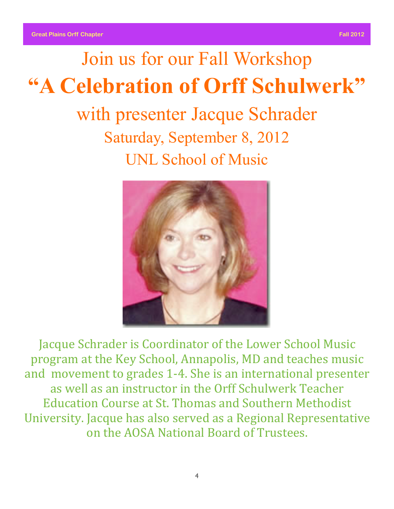# Join us for our Fall Workshop **"A Celebration of Orff Schulwerk"**

with presenter Jacque Schrader Saturday, September 8, 2012 UNL School of Music



Jacque Schrader is Coordinator of the Lower School Music program at the Key School, Annapolis, MD and teaches music and movement to grades 1-4. She is an international presenter as well as an instructor in the Orff Schulwerk Teacher Education Course at St. Thomas and Southern Methodist University. Jacque has also served as a Regional Representative on'the'AOSA'National'Board'of'Trustees.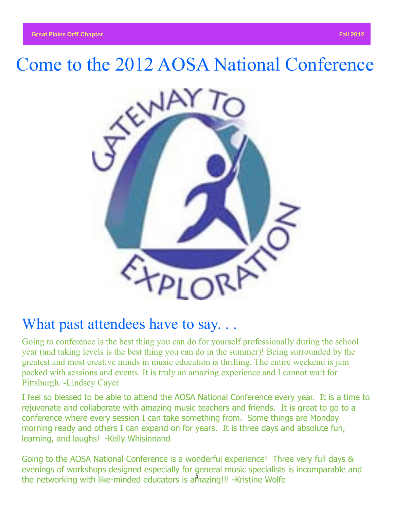## Come to the 2012 AOSA National Conference



### What past attendees have to say...

Going to conference is the best thing you can do for yourself professionally during the school year (and taking levels is the best thing you can do in the summer)! Being surrounded by the greatest and most creative minds in music education is thrilling. The entire weekend is jam packed with sessions and events. It is truly an amazing experience and I cannot wait for Pittsburgh. -Lindsey Cayer

I feel so blessed to be able to attend the AOSA National Conference every year. It is a time to rejuvenate and collaborate with amazing music teachers and friends. It is great to go to a conference where every session I can take something from. Some things are Monday morning ready and others I can expand on for years. It is three days and absolute fun, learning, and laughs! - Kelly Whisinnand

5 the networking with like-minded educators is amazing!!! -Kristine WolfeGoing to the AOSA National Conference is a wonderful experience! Three very full days & evenings of workshops designed especially for general music specialists is incomparable and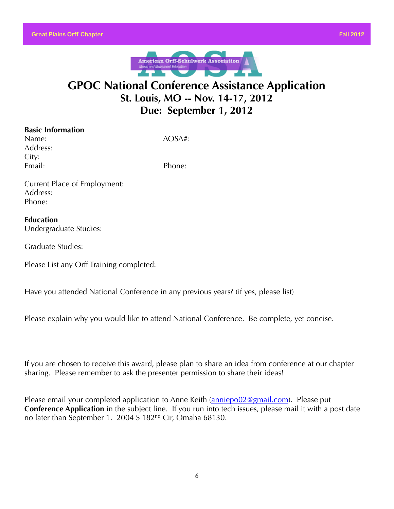

### **GPOC National Conference Assistance Application St. Louis, MO -- Nov. 14-17, 2012 Due: September 1, 2012**

| <b>Basic Information</b> |
|--------------------------|
| Name:                    |
| Address:                 |
| City:                    |
| Email:                   |

 $AOSA#$ :

Phone:

Current Place of Employment: Address: Phone:

#### **Education** Undergraduate Studies:

Graduate Studies:

Please List any Orff Training completed:

Have you attended National Conference in any previous years? (if yes, please list)

Please explain why you would like to attend National Conference. Be complete, yet concise.

If you are chosen to receive this award, please plan to share an idea from conference at our chapter sharing. Please remember to ask the presenter permission to share their ideas!

Please email your completed application to Anne Keith [\(anniepo02@gmail.com\)](mailto:anniepo02@gmail.com). Please put **Conference Application** in the subject line. If you run into tech issues, please mail it with a post date no later than September 1. 2004 S 182nd Cir, Omaha 68130.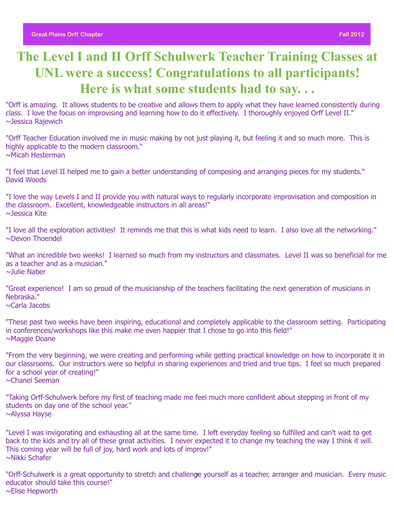### **The Level I and II Orff Schulwerk Teacher Training Classes at UNL were a success! Congratulations to all participants! Here is what some students had to say. . .**

"Orff is amazing. It allows students to be creative and allows them to apply what they have learned consistently during class. I love the focus on improvising and learning how to do it effectively. I thoroughly enjoyed Orff Level II." ~Jessica Rajewich

"Orff Teacher Education involved me in music making by not just playing it, but feeling it and so much more. This is highly applicable to the modern classroom." ~Micah Hesterman

"I feel that Level II helped me to gain a better understanding of composing and arranging pieces for my students." David Woods

"I love the way Levels I and II provide you with natural ways to regularly incorporate improvisation and composition in the classroom. Excellent, knowledgeable instructors in all areas!" ~Jessica Kite

"I love all the exploration activities! It reminds me that this is what kids need to learn. I also love all the networking." ~Devon Thoendel

"What an incredible two weeks! I learned so much from my instructors and classmates. Level II was so beneficial for me as a teacher and as a musician." ~Julie Naber

"Great experience! I am so proud of the musicianship of the teachers facilitating the next generation of musicians in Nebraska."

~Carla Jacobs

"These past two weeks have been inspiring, educational and completely applicable to the classroom setting. Participating in conferences/workshops like this make me even happier that I chose to go into this field!" ~Maggie Doane

"From the very beginning, we were creating and performing while getting practical knowledge on how to incorporate it in our classrooms. Our instructors were so helpful in sharing experiences and tried and true tips. I feel so much prepared for a school year of creating!" ~Chanel Seeman

"Taking Orff-Schulwerk before my first of teaching made me feel much more confident about stepping in front of my students on day one of the school year." ~Alyssa Hayse

"Level I was invigorating and exhausting all at the same time. I left everyday feeling so fulfilled and can't wait to get back to the kids and try all of these great activities. I never expected it to change my teaching the way I think it will. This coming year will be full of joy, hard work and lots of improv!" ~Nikki Schafer

"Orff-Schulwerk is a great opportunity to stretch and challenge yourself as a teacher, arranger and musician. Every music educator should take this course!" ~Elise Hepworth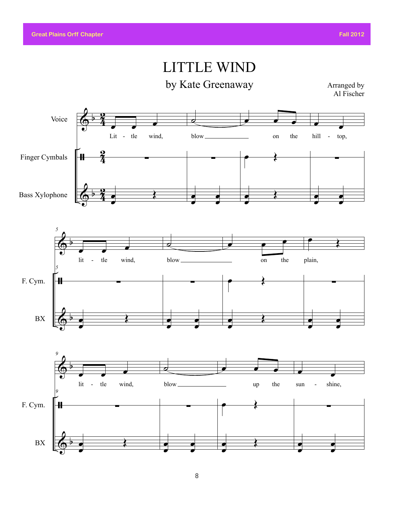### LITTLE WIND

by Kate Greenaway

Arranged by Al Fischer

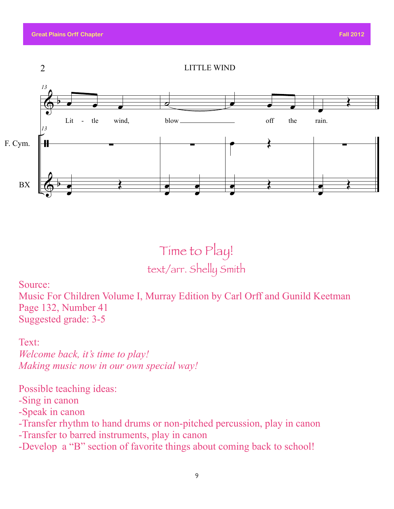

Time to Play! text/arr. Shelly Smith

#### Source:

Music For Children Volume I, Murray Edition by Carl Orff and Gunild Keetman Page 132, Number 41 Suggested grade: 3-5

Text:

*Welcome back, it's time to play! Making music now in our own special way!* 

Possible teaching ideas:

-Sing in canon

-Speak in canon

-Transfer rhythm to hand drums or non-pitched percussion, play in canon

-Transfer to barred instruments, play in canon

-Develop a "B" section of favorite things about coming back to school!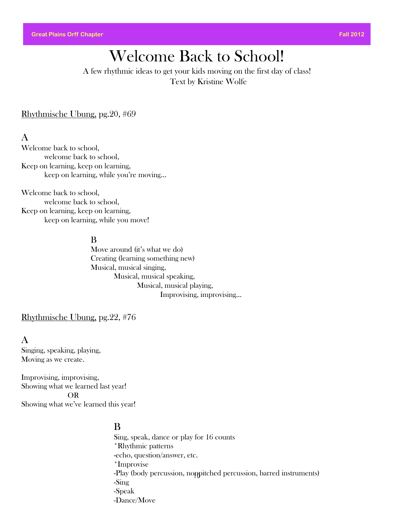### Welcome Back to School!

A few rhythmic ideas to get your kids moving on the first day of class! Text by Kristine Wolfe

Rhythmische Ubung, pg.20, #69

#### A

Welcome back to school, welcome back to school, Keep on learning, keep on learning, keep on learning, while you're moving…

Welcome back to school, welcome back to school, Keep on learning, keep on learning, keep on learning, while you move!

#### B

Move around (it's what we do) Creating (learning something new) Musical, musical singing, Musical, musical speaking, Musical, musical playing, Improvising, improvising…

Rhythmische Ubung, pg.22, #76

#### A

Singing, speaking, playing, Moving as we create.

Improvising, improvising, Showing what we learned last year! OR Showing what we've learned this year!

#### B

10 -Play (body percussion, nonpitched percussion, barred instruments) Sing, speak, dance or play for 16 counts \*Rhythmic patterns -echo, question/answer, etc. \*Improvise -Sing -Speak -Dance/Move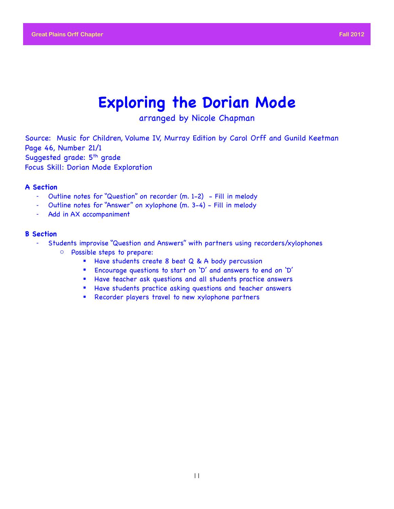### **Exploring the Dorian Mode**

arranged by Nicole Chapman

Source: Music for Children, Volume IV, Murray Edition by Carol Orff and Gunild Keetman Page 46, Number 21/1 Suggested grade: 5<sup>th</sup> grade Focus Skill: Dorian Mode Exploration

#### **A Section**

- Outline notes for "Question" on recorder (m. 1-2) Fill in melody
- Outline notes for "Answer" on xylophone (m. 3-4) Fill in melody
- Add in AX accompaniment

#### **B Section**

- ! Students improvise "Question and Answers" with partners using recorders/xylophones
	- o Possible steps to prepare:
		- **E** Have students create 8 beat Q & A body percussion
		- ! Encourage questions to start on 'D' and answers to end on 'D'
		- ! Have teacher ask questions and all students practice answers
		- ! Have students practice asking questions and teacher answers
		- ! Recorder players travel to new xylophone partners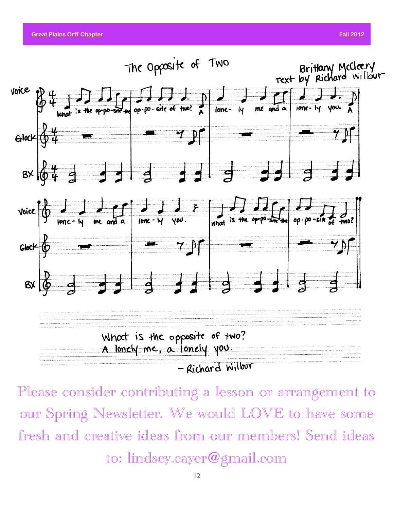**Great Plains Orff Chapter Fall 2012 Contract Contract Contract Contract Contract Contract Contract Contract Contract Contract Contract Contract Contract Contract Contract Contract Contract Contract Contract Contract Con** 



Please consider contributing a lesson or arrangement to our Spring Newsletter. We would LOVE to have some fresh and creative ideas from our members! Send ideas to: lindsey.cayer@gmail.com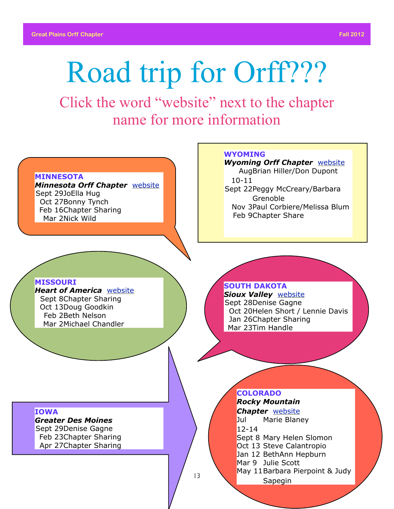# Road trip for Orff???

Click the word "website" next to the chapter name for more information

#### **MINNESOTA**

*Minnesota Orff Chapter* [website](http://mnorff.org/Minnesota_Orff_Chapter/Welcome.html) Sept 29JoElla Hug Oct 27Bonny Tynch Feb 16Chapter Sharing Mar 2Nick Wild

#### **MISSOURI**

*Heart of America* [website](http://www.hoa-aosa.org/) Sept 8Chapter Sharing Oct 13Doug Goodkin Feb 2Beth Nelson Mar 2Michael Chandler

#### **WYOMING**

*Wyoming Orff Chapter* [website](http://orgsites.com/wy/wyomingorff/index.html) Aug Brian Hiller/Don Dupont 10-11 Sept 22Peggy McCreary/Barbara Grenoble Nov 3Paul Corbiere/Melissa Blum Feb 9Chapter Share

**SOUTH DAKOTA**

*Sioux Valley* [website](http://siouxvalleyorffchapter.pbworks.com/w/page/8513442/FrontPage) Sept 28Denise Gagne Oct 20Helen Short / Lennie Davis Jan 26Chapter Sharing Mar 23Tim Handle

#### **IOWA**

#### *Greater Des Moines*

Sept 29Denise Gagne Feb 23Chapter Sharing Apr 27Chapter Sharing

#### **COLORADO**

*Rocky Mountain Chapter* [website](http://rmc-aosa.org/) Jul 12-14 Marie Blaney

- Sept 8 Mary Helen Slomon
- Oct 13 Steve Calantropio
- Jan 12 BethAnn Hepburn
- Mar 9 Julie Scott
- May 11Barbara Pierpoint & Judy

Sapegin

13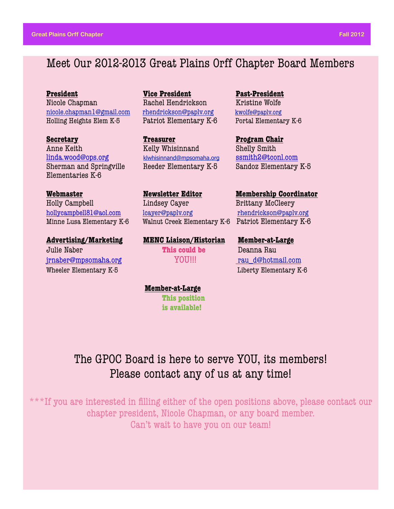### Meet Our 2012-2013 Great Plains Orff Chapter Board Members

**President** *Vice President* **Past-President** Nicole Chapman **Rachel Hendrickson** Kristine Wolfe [nicole.chapman1@gmail.com](mailto:nicole.chapman1@gmail.com) [rhendrickson@paplv.org](mailto:rhendrickson@paplv.esu3.org) [kwolfe@paplv.org](mailto:philipheather@yahoo.com) Holling Heights Elem K-5 Patriot Elementary K-6 Portal Elementary K-6

**Secretary Constanting Treasurer Chair Program Chair** Anne Keith Kelly Whisinnand Shelly Smith [linda.wood@ops.org](mailto:linda.wood@ops.org) [klwhisinnand@mpsomaha.org](mailto:klwhisinnand@mpsomaha.org) [ssmith2@tconl.com](mailto:ssmith2@tconl.com) Sherman and Springville Reeder Elementary K-5 Sandoz Elementary K-5 Elementaries K-6

Holly Campbell **Lindsey Cayer** Brittany McCleery

**Advertising/Marketing MENC Liaison/Historian Member-at-Large** Julie Naber  **This could be** Deanna Rau [jrnaber@mpsomaha.org](mailto:jrnaber@mpsomaha.org) YOU!!! [rau\\_d@hotmail.com](mailto:rau_d@hotmail.com) Wheeler Elementary K-5 Liberty Elementary K-6

[hollycampbell81@aol.com](mailto:hollycampbell81@aol.com) [lcayer@paplv.org](mailto:lcayer@paplv.org) [rhendrickson@paplv.org](mailto:rhendrickson@paplv.esu3.org) Minne Lusa Elementary K-6 Walnut Creek Elementary K-6 Patriot Elementary K-6

**Webmaster Newsletter Editor Membership Coordinator** 

 **Member-at-Large This position** 

 **is available!**

The GPOC Board is here to serve YOU, its members! Please contact any of us at any time!

\*\*\*If you are interested in filling either of the open positions above, please contact our chapter president, Nicole Chapman, or any board member. Can't wait to have you on our team!